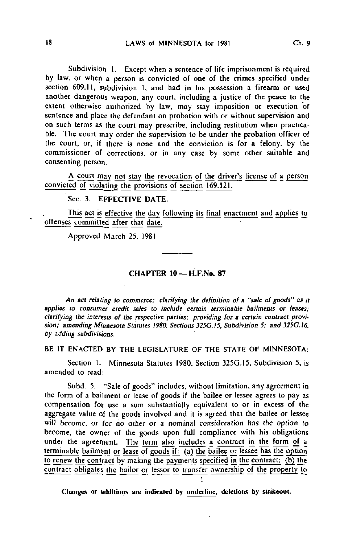Subdivision 1. Except when a sentence of life imprisonment is required by law, or when a person is convicted of one of the crimes specified under section 609.11, subdivision 1, and had in his possession a firearm or used another dangerous weapon, any court, including a justice of the peace to the extent otherwise authorized by law, may stay imposition or execution of sentence and place the defendant on probation with or without supervision and on such terms as the court may prescribe, including restitution when practicable. The court may order the supervision to be under the probation officer of the court, or, if there is none and the conviction is for a felony, by the commissioner of corrections, or in any case by some other suitable and consenting person.

A court may not stay the revocation of the driver's license of a person convicted of violating the provisions of section 169.121.

## Sec. 3. EFFECTIVE DATE.

This act is effective the day following its final enactment and applies to offenses committed after that date.

Approved March 25, 1981

## $CHAPTER$  10 -  $H.F.No. 87$

An act relating to commerce; clarifying the definition of a "sale of goods" as it applies to consumer credit sales to include certain terminable bailments or leases; clarifying the interests of the respective parties; providing for a certain contract provision; amending Minnesota Statutes 1980, Sections 325G.I5, Subdivision 5; and 325G.16, by adding subdivisions.

BE IT ENACTED BY THE LEGISLATURE OF THE STATE OF MINNESOTA:

Section 1. Minnesota Statutes 1980, Section 325G.I5, Subdivision 5, is amended to read;

Subd. 5. "Sale of goods" includes, without limitation, any agreement in the form of a bailment or lease of goods if the bailee or lessee agrees to pay as compensation for use a sum substantially equivalent to or in excess of the aggregate value of the goods involved and it is agreed that the bailee or lessee will become, or for no other or a nominal consideration has the option to become, the owner of the goods upon full compliance with his obligations under the agreement. The term also includes a contract in the form of a terminable bailment or lease of goods if: (a) the bailee or lessee has the option to renew the contract by making the payments specified in the contract: (b) the contract obligates the bailor or lessor to transfer ownership of the property to

Changes or additions are indicated by underline, deletions by strikeout.

1